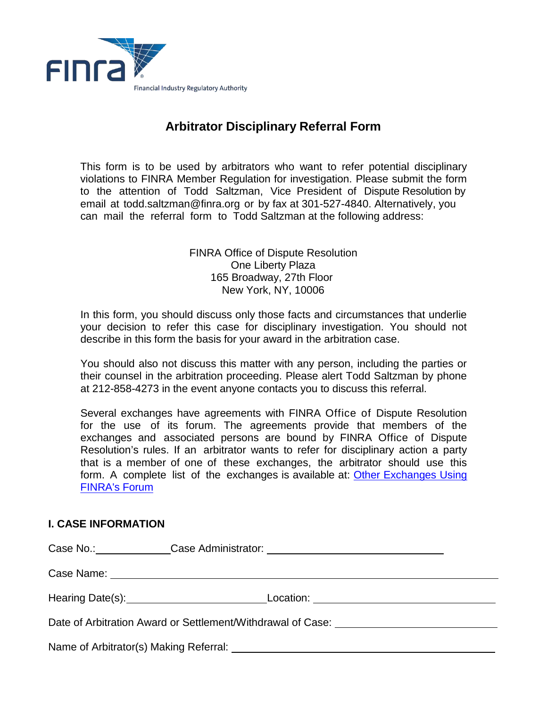

## **Arbitrator Disciplinary Referral Form**

This form is to be used by arbitrators who want to refer potential disciplinary violations to FINRA Member Regulation for investigation. Please submit the form to the attention of Todd Saltzman, Vice President of Dispute Resolution by email at todd.saltzman@finra.org or by fax at 301-527-4840. Alternatively, you can mail the referral form to Todd Saltzman at the following address:

> **FINRA Office of Dispute Resolution** One Liberty Plaza 165 Broadway, 27th Floor New York, NY, 10006

In this form, you should discuss only those facts and circumstances that underlie your decision to refer this case for disciplinary investigation. You should not describe in this form the basis for your award in the arbitration case.

You should also not discuss this matter with any person, including the parties or their counsel in the arbitration proceeding. Please alert Todd Saltzman by phone at 212-858-4273 in the event anyone contacts you to discuss this referral.

Several exchanges have agreements with FINRA Office of Dispute Resolution for the use of its forum. The agreements provide that members of the exchanges and associated persons are bound by FINRA Office of Dispute Resolution's rules. If an arbitrator wants to refer for disciplinary action a party that is a member of one of these exchanges, the arbitrator should use this form. A complete list of the exchanges is available at: Other Exchanges Using **FINRA's Forum** 

## **I. CASE INFORMATION**

|                                                                                                                                                                                                                                |  | Case No.: Case Administrator: Case Administrator: |  |  |
|--------------------------------------------------------------------------------------------------------------------------------------------------------------------------------------------------------------------------------|--|---------------------------------------------------|--|--|
|                                                                                                                                                                                                                                |  |                                                   |  |  |
| Hearing Date(s): Network and the set of the set of the set of the set of the set of the set of the set of the set of the set of the set of the set of the set of the set of the set of the set of the set of the set of the se |  |                                                   |  |  |
| Date of Arbitration Award or Settlement/Withdrawal of Case: ____________________                                                                                                                                               |  |                                                   |  |  |
|                                                                                                                                                                                                                                |  |                                                   |  |  |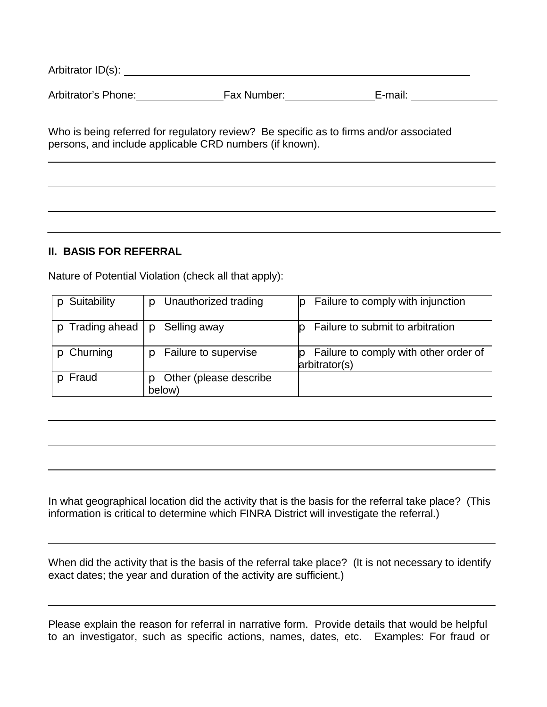| Arbitrator ID(s):   |             |         |  |
|---------------------|-------------|---------|--|
| Arbitrator's Phone: | Fax Number: | E-mail: |  |

Who is being referred for regulatory review? Be specific as to firms and/or associated persons, and include applicable CRD numbers (if known).

## **II. BASIS FOR REFERRAL**

Nature of Potential Violation (check all that apply):

| Suitability           | Unauthorized trading             | Failure to comply with injunction                      |
|-----------------------|----------------------------------|--------------------------------------------------------|
| $\circ$ Trading ahead | Selling away<br>D                | Failure to submit to arbitration                       |
| $p$ Churning          | Failure to supervise             | Failure to comply with other order of<br>arbitrator(s) |
| Fraud                 | Other (please describe<br>below) |                                                        |

In what geographical location did the activity that is the basis for the referral take place? (This information is critical to determine which FINRA District will investigate the referral.)

When did the activity that is the basis of the referral take place? (It is not necessary to identify exact dates; the year and duration of the activity are sufficient.)

Please explain the reason for referral in narrative form. Provide details that would be helpful to an investigator, such as specific actions, names, dates, etc. Examples: For fraud or